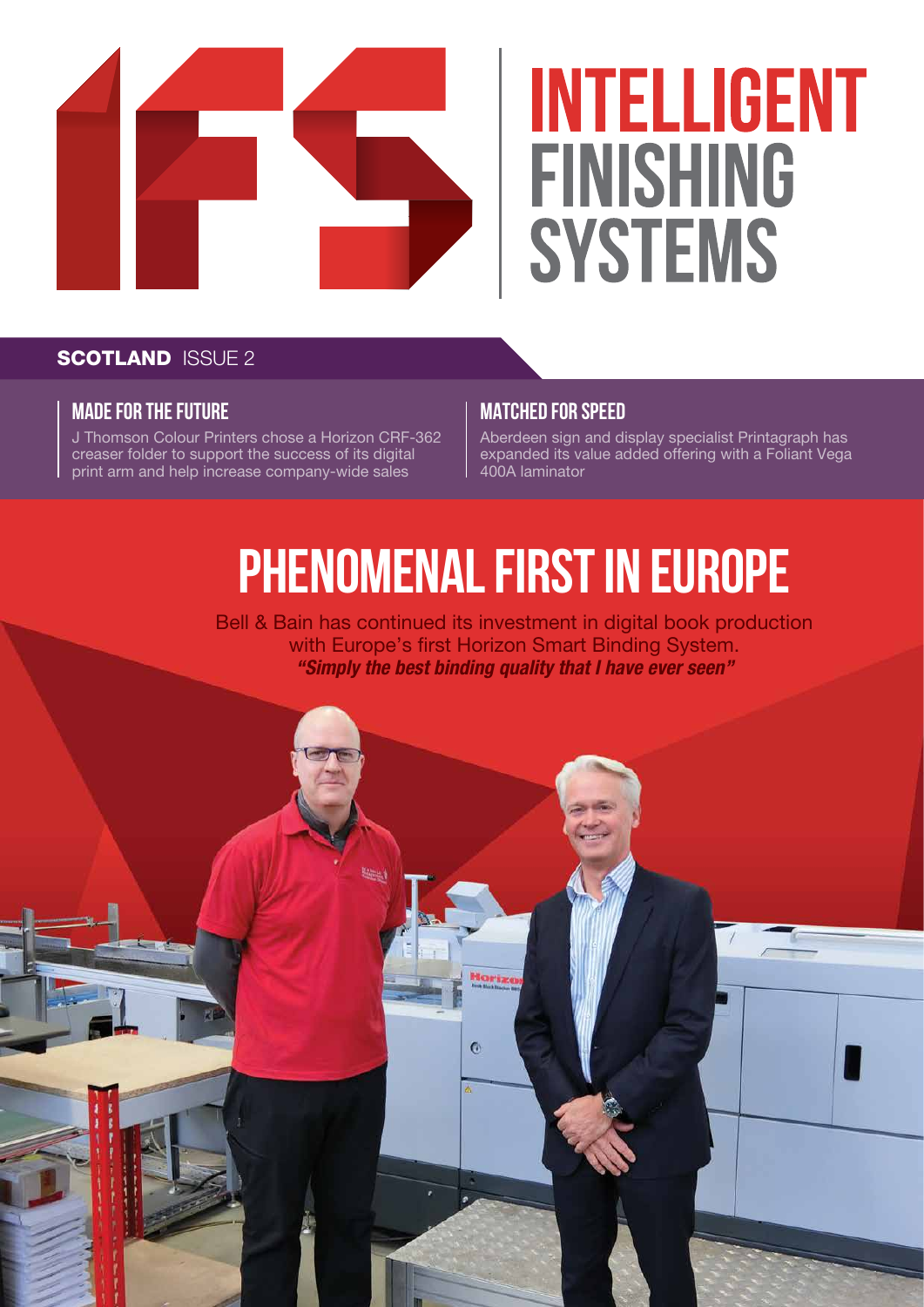

# **INTELLIGENT FINISHING SYSTEMS**

### **SCOTLAND ISSUE 2**

#### **MADE FOR THE FUTURE**

J Thomson Colour Printers chose a Horizon CRF-362 creaser folder to support the success of its digital print arm and help increase company-wide sales

#### **MATCHED FOR SPEED**

Aberdeen sign and display specialist Printagraph has expanded its value added offering with a Foliant Vega 400A laminator

## **PHENOMENAL FIRST IN EUROPE**

Bell & Bain has continued its investment in digital book production with Europe's first Horizon Smart Binding System. *"Simply the best binding quality that I have ever seen"*

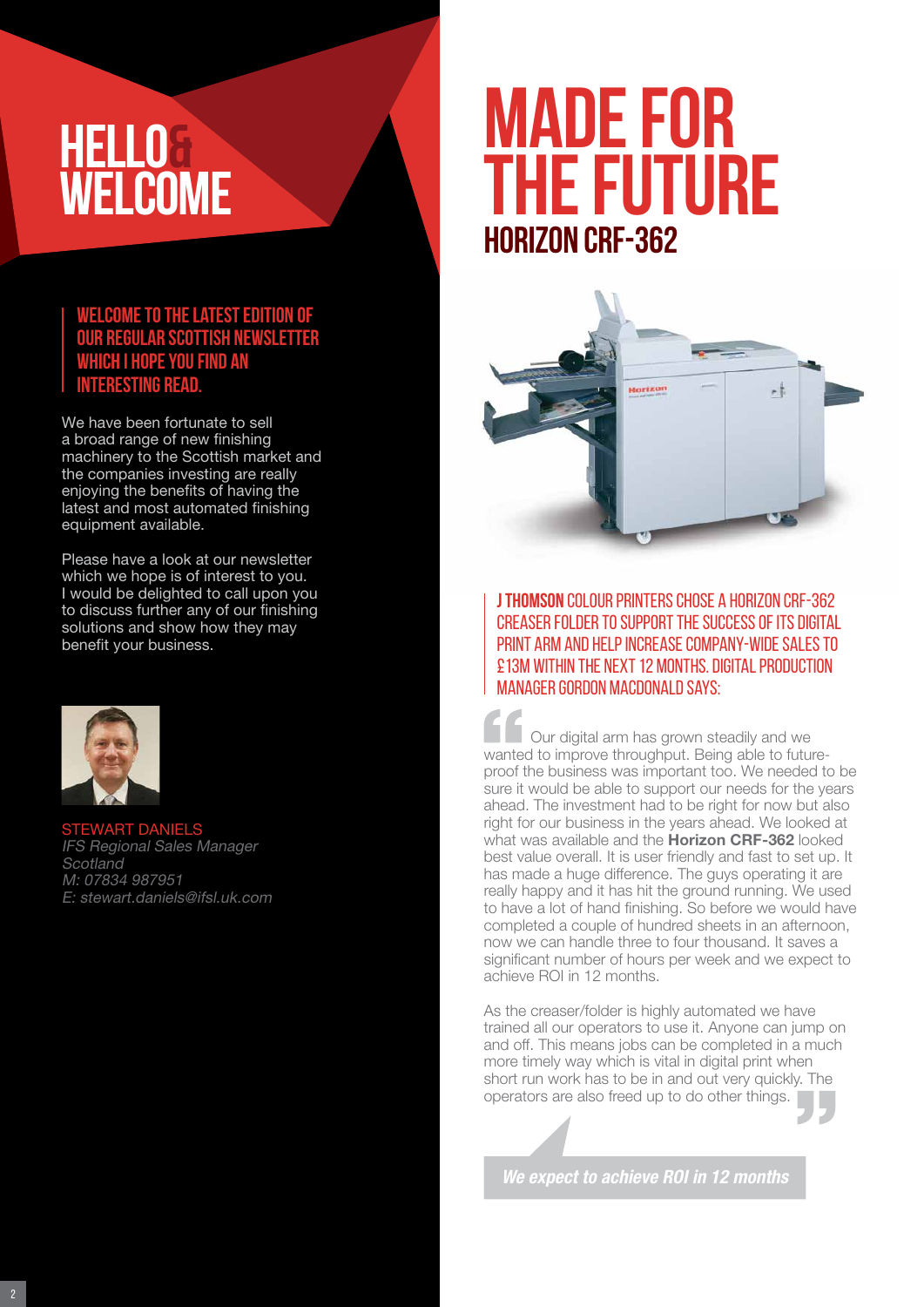### **HELLO& WELCOME**

#### **Welcome to the latest edition of our regular Scottish newsletter which I hope you find an interesting read.**

We have been fortunate to sell a broad range of new finishing machinery to the Scottish market and the companies investing are really enjoying the benefits of having the latest and most automated finishing equipment available.

Please have a look at our newsletter which we hope is of interest to you. I would be delighted to call upon you to discuss further any of our finishing solutions and show how they may benefit your business.



STEWART DANIELS IFS Regional Sales Manager **Scotland** M: 07834 987951 E: stewart.daniels@ifsl.uk.com

### **MADE FOR THE FUTURE Horizon CRF-362**



**J Thomson** Colour Printers chose a Horizon CRF-362 creaser folder to support the success of its digital print arm and help increase company-wide sales to £13m within the next 12 months. Digital Production Manager Gordon Macdonald says:

Our digital arm has grown steadily and we wanted to improve throughput. Being able to futureproof the business was important too. We needed to be sure it would be able to support our needs for the years ahead. The investment had to be right for now but also right for our business in the years ahead. We looked at what was available and the **Horizon CRF-362** looked best value overall. It is user friendly and fast to set up. It has made a huge difference. The guys operating it are really happy and it has hit the ground running. We used to have a lot of hand finishing. So before we would have completed a couple of hundred sheets in an afternoon, now we can handle three to four thousand. It saves a significant number of hours per week and we expect to achieve ROI in 12 months.

As the creaser/folder is highly automated we have trained all our operators to use it. Anyone can jump on and off. This means jobs can be completed in a much more timely way which is vital in digital print when short run work has to be in and out very quickly. The operators are also freed up to do other things.

*We expect to achieve ROI in 12 months*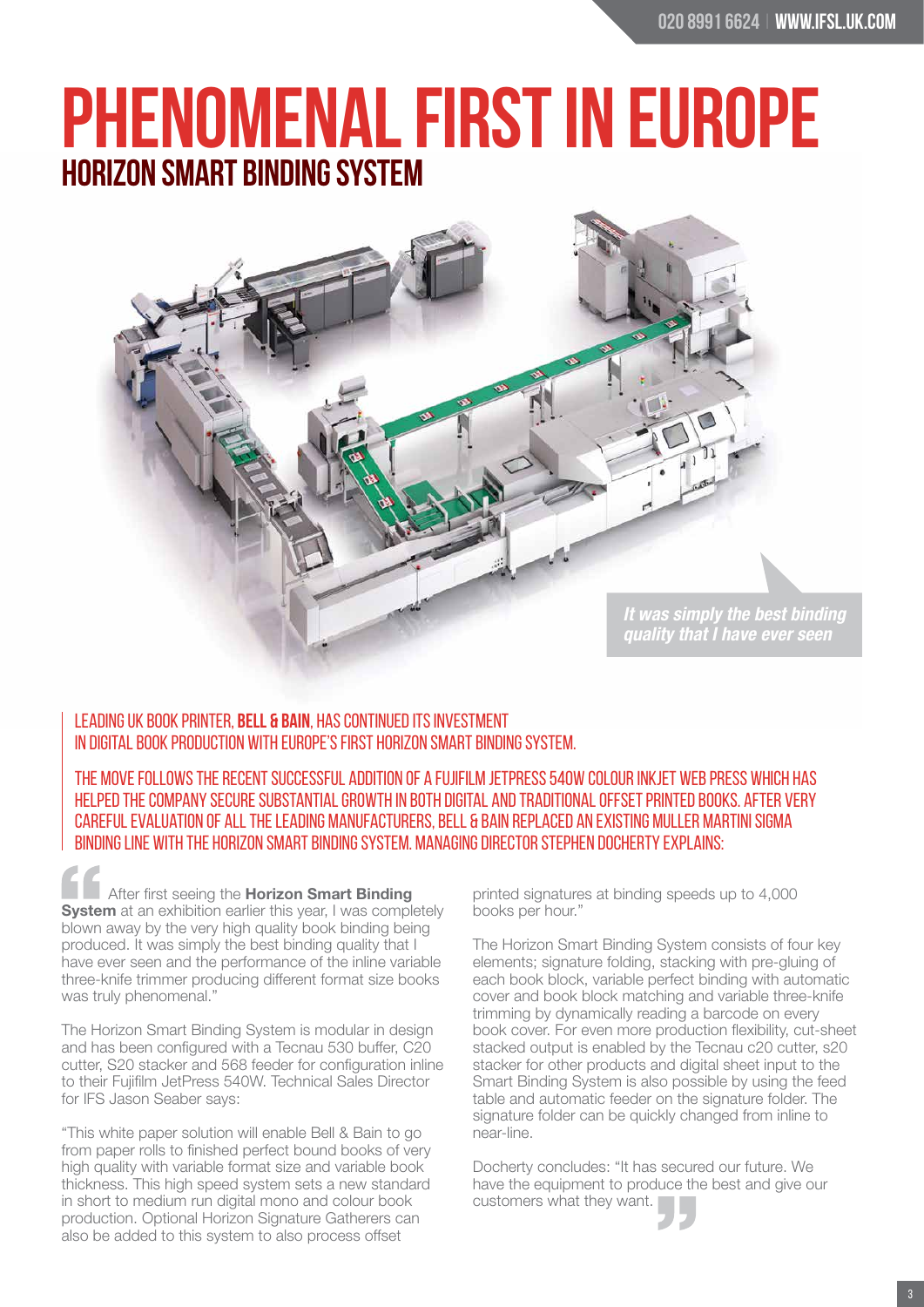### **PHENOMENAL FIRST IN EUROPE Horizon Smart BindING System**



#### Leading UK book printer, **Bell & Bain**, has continued its investment in digital book production with Europe's first Horizon Smart Binding System.

The move follows the recent successful addition of a Fujifilm JetPress 540W colour inkjet web press which has helped the company secure substantial growth in both digital and traditional offset printed books. After very careful evaluation of all the leading manufacturers, Bell & Bain replaced an existing Muller Martini Sigma binding line with the Horizon Smart Binding System. Managing Director Stephen Docherty explains:

After first seeing the Horizon Smart Binding **System** at an exhibition earlier this year, I was completely blown away by the very high quality book binding being produced. It was simply the best binding quality that I have ever seen and the performance of the inline variable three-knife trimmer producing different format size books was truly phenomenal."

The Horizon Smart Binding System is modular in design and has been configured with a Tecnau 530 buffer, C20 cutter, S20 stacker and 568 feeder for configuration inline to their Fujifilm JetPress 540W. Technical Sales Director for IFS Jason Seaber says:

"This white paper solution will enable Bell & Bain to go from paper rolls to finished perfect bound books of very high quality with variable format size and variable book thickness. This high speed system sets a new standard in short to medium run digital mono and colour book production. Optional Horizon Signature Gatherers can also be added to this system to also process offset

printed signatures at binding speeds up to 4,000 books per hour."

The Horizon Smart Binding System consists of four key elements; signature folding, stacking with pre-gluing of each book block, variable perfect binding with automatic cover and book block matching and variable three-knife trimming by dynamically reading a barcode on every book cover. For even more production flexibility, cut-sheet stacked output is enabled by the Tecnau c20 cutter, s20 stacker for other products and digital sheet input to the Smart Binding System is also possible by using the feed table and automatic feeder on the signature folder. The signature folder can be quickly changed from inline to near-line.

Docherty concludes: "It has secured our future. We have the equipment to produce the best and give our customers what they want.